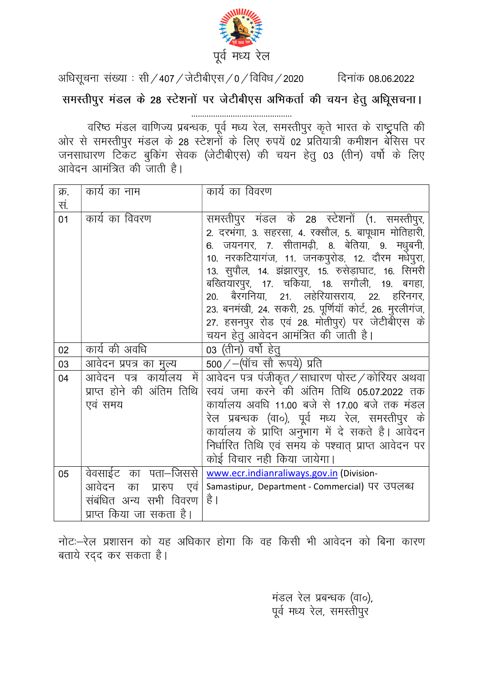

अधिसूचना संख्या : सी / 407 / जेटीबीएस / 0 / विविध / 2020 दिनांक 08.06.2022 समस्तीपुर मंडल के 28 स्टेशनों पर जेटीबीएस अभिकर्ता की चयन हेतु अधिूसचना।

्<br>वरिष्ठ मंडल वाणिज्य प्रबन्धक, पूर्व मध्य रेल, समस्तीपुर कृते भारत के राष्ट्रपति की<br>ओर से समस्तीपुर मंडल के 28 स्टेशनों के लिए रुपयें 02 प्रतियात्री कमीशन बेसिस पर ª आरं से समस्तापुर मेडल के 28 स्टेशना के लिए रुपये 02 प्रांतयात्रा कमाशन बासस पर<br>जनसाधारण टिकट बुकिंग सेवक (जेटीबीएस) की चयन हेतु 03 (तीन) वर्षो के लिए<br>आवेदन आमंत्रित की जाती है।

| क्र.    | कार्य का नाम                                                                                          | कार्य का विवरण                                                                                                                                                                                                                                                                                                                                                                                                                                                              |
|---------|-------------------------------------------------------------------------------------------------------|-----------------------------------------------------------------------------------------------------------------------------------------------------------------------------------------------------------------------------------------------------------------------------------------------------------------------------------------------------------------------------------------------------------------------------------------------------------------------------|
| .<br>स. |                                                                                                       |                                                                                                                                                                                                                                                                                                                                                                                                                                                                             |
| 01      | कार्य का विवरण                                                                                        | समस्तीपुर मंडल के 28 स्टेशनों (1. समस्तीपुर,<br>2. दरभंगा, 3. सहरसा, 4. रक्सौल, 5. बापूधाम मोतिहारी,<br>जयनगर, 7. सीतामढ़ी, 8. बेतिया, 9. मधुबनी,<br>6.<br>10. नरकटियागंज, 11. जनकपुरोड, 12. दौरम मधेपुरा,<br>13. सुपौल, 14. झंझारपुर, 15. रुसेड़ाघाट, 16. सिमरी<br>बख्तियारपुर, 17. चकिया, 18. सगौली, 19. बगहा,<br>20. बैरगनिया, 21. लहेरियासराय, 22. हरिनगर,<br>23. बनमंखी, 24. सकरी, 25. पूर्णियॉ कोर्ट, 26. मुरलीगंज,<br>27. हसनपुर रोड एवं 28. मोतीपुर) पर जेटीबीएस के |
|         |                                                                                                       | चयन हेतू आवेदन आमंत्रित की जाती है।                                                                                                                                                                                                                                                                                                                                                                                                                                         |
| 02      | कार्य की अवधि                                                                                         | 03 (तीन) वर्षो हेतू                                                                                                                                                                                                                                                                                                                                                                                                                                                         |
| 03      | आवेदन प्रपत्र का मुल्य                                                                                | $500$ / $-$ (पॉच सौ रूपये) प्रति                                                                                                                                                                                                                                                                                                                                                                                                                                            |
| 04      | में<br>आवेदन पत्र कार्यालय<br>प्राप्त होने की अंतिम तिथि<br>एवं समय                                   | आवेदन पत्र पंजीकृत/साधारण पोस्ट/कोरियर अथवा<br>स्वयं जमा करने की अंतिम तिथि 05.07.2022 तक<br>कार्यालय अवधि 11.00 बजे से 17.00 बजे तक मंडल<br>रेल प्रबन्धक (वा०), पूर्व मध्य रेल, समस्तीपुर के<br>कार्यालय के प्राप्ति अनुभाग में दे सकते है। आवेदन<br>निर्धारित तिथि एवं समय के पश्चात् प्राप्त आवेदन पर<br>कोई विचार नही किया जायेगा।                                                                                                                                      |
| 05      | वेवसाईट का पता—जिससे<br>आवेदन का प्रारुप<br>एवं<br>संबंधित अन्य सभी विवरण<br>प्राप्त किया जा सकता है। | www.ecr.indianraliways.gov.in (Division-<br>Samastipur, Department - Commercial) पर उपलब्ध<br>है ।                                                                                                                                                                                                                                                                                                                                                                          |

नोटः-रेल प्रशासन को यह अधिकार होगा कि वह किसी भी आवेदन को बिना कारण बताये रदद कर सकता है।

> मंडल रेल प्रबन्धक (वा०), पूर्व मध्य रेल, समस्तीपुर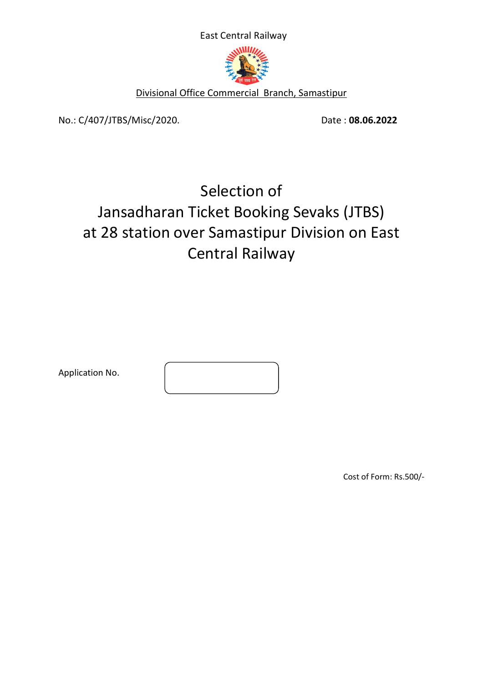East Central Railway



Divisional Office Commercial Branch, Samastipur

No.: C/407/JTBS/Misc/2020. Date: 08.06.2022

# Selection of Jansadharan Ticket Booking Sevaks (JTBS) at 28 station over Samastipur Division on East Central Railway

Application No.

Cost of Form: Rs.500/-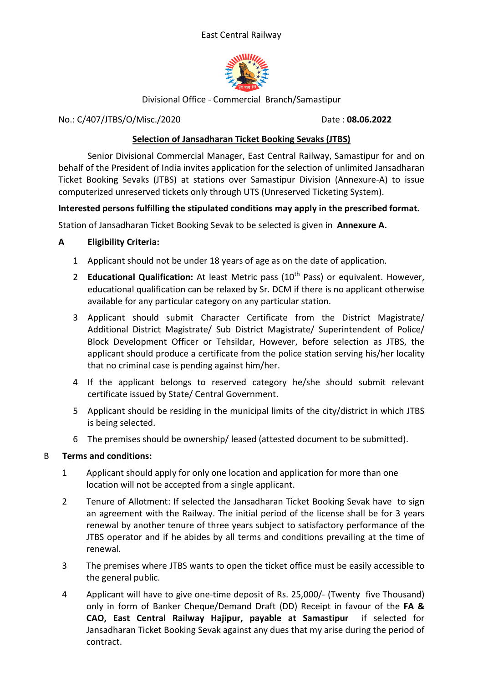#### East Central Railway



Divisional Office - Commercial Branch/Samastipur

No.: C/407/JTBS/O/Misc./2020 Date: 08.06.2022

## Selection of Jansadharan Ticket Booking Sevaks (JTBS)

 Senior Divisional Commercial Manager, East Central Railway, Samastipur for and on behalf of the President of India invites application for the selection of unlimited Jansadharan Ticket Booking Sevaks (JTBS) at stations over Samastipur Division (Annexure-A) to issue computerized unreserved tickets only through UTS (Unreserved Ticketing System).

## Interested persons fulfilling the stipulated conditions may apply in the prescribed format.

Station of Jansadharan Ticket Booking Sevak to be selected is given in Annexure A.

## A Eligibility Criteria:

- 1 Applicant should not be under 18 years of age as on the date of application.
- 2 Educational Qualification: At least Metric pass  $(10<sup>th</sup>$  Pass) or equivalent. However, educational qualification can be relaxed by Sr. DCM if there is no applicant otherwise available for any particular category on any particular station.
- 3 Applicant should submit Character Certificate from the District Magistrate/ Additional District Magistrate/ Sub District Magistrate/ Superintendent of Police/ Block Development Officer or Tehsildar, However, before selection as JTBS, the applicant should produce a certificate from the police station serving his/her locality that no criminal case is pending against him/her.
- 4 If the applicant belongs to reserved category he/she should submit relevant certificate issued by State/ Central Government.
- 5 Applicant should be residing in the municipal limits of the city/district in which JTBS is being selected.
- 6 The premises should be ownership/ leased (attested document to be submitted).

## B Terms and conditions:

- 1 Applicant should apply for only one location and application for more than one location will not be accepted from a single applicant.
- 2 Tenure of Allotment: If selected the Jansadharan Ticket Booking Sevak have to sign an agreement with the Railway. The initial period of the license shall be for 3 years renewal by another tenure of three years subject to satisfactory performance of the JTBS operator and if he abides by all terms and conditions prevailing at the time of renewal.
- 3 The premises where JTBS wants to open the ticket office must be easily accessible to the general public.
- 4 Applicant will have to give one-time deposit of Rs. 25,000/- (Twenty five Thousand) only in form of Banker Cheque/Demand Draft (DD) Receipt in favour of the FA & CAO, East Central Railway Hajipur, payable at Samastipur if selected for Jansadharan Ticket Booking Sevak against any dues that my arise during the period of contract.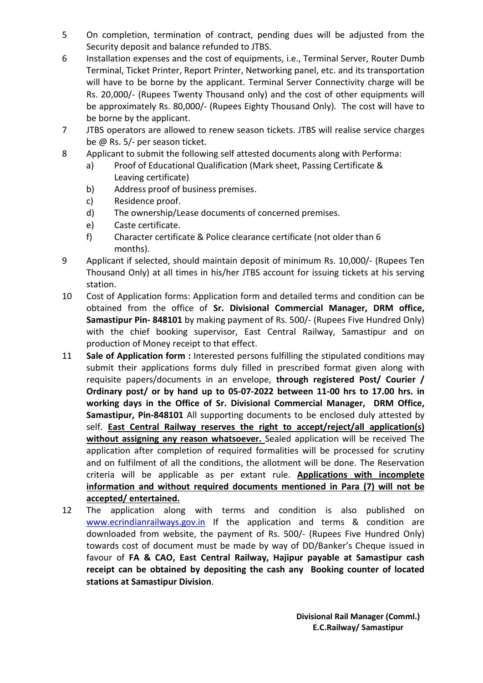- 5 On completion, termination of contract, pending dues will be adjusted from the Security deposit and balance refunded to JTBS.
- 6 Installation expenses and the cost of equipments, i.e., Terminal Server, Router Dumb Terminal, Ticket Printer, Report Printer, Networking panel, etc. and its transportation will have to be borne by the applicant. Terminal Server Connectivity charge will be Rs. 20,000/- (Rupees Twenty Thousand only) and the cost of other equipments will be approximately Rs. 80,000/- (Rupees Eighty Thousand Only). The cost will have to be borne by the applicant.
- 7 JTBS operators are allowed to renew season tickets. JTBS will realise service charges be @ Rs. 5/- per season ticket.
- 8 Applicant to submit the following self attested documents along with Performa:
	- a) Proof of Educational Qualification (Mark sheet, Passing Certificate & Leaving certificate)
	- b) Address proof of business premises.
	- c) Residence proof.
	- d) The ownership/Lease documents of concerned premises.
	- e) Caste certificate.
	- f) Character certificate & Police clearance certificate (not older than 6 months).
- 9 Applicant if selected, should maintain deposit of minimum Rs. 10,000/- (Rupees Ten Thousand Only) at all times in his/her JTBS account for issuing tickets at his serving station.
- 10 Cost of Application forms: Application form and detailed terms and condition can be obtained from the office of Sr. Divisional Commercial Manager, DRM office, Samastipur Pin- 848101 by making payment of Rs. 500/- (Rupees Five Hundred Only) with the chief booking supervisor, East Central Railway, Samastipur and on production of Money receipt to that effect.
- 11 Sale of Application form : Interested persons fulfilling the stipulated conditions may submit their applications forms duly filled in prescribed format given along with requisite papers/documents in an envelope, through registered Post/ Courier / Ordinary post/ or by hand up to 05-07-2022 between 11-00 hrs to 17.00 hrs. in working days in the Office of Sr. Divisional Commercial Manager, DRM Office, Samastipur, Pin-848101 All supporting documents to be enclosed duly attested by self. East Central Railway reserves the right to accept/reject/all application(s) without assigning any reason whatsoever. Sealed application will be received The application after completion of required formalities will be processed for scrutiny and on fulfilment of all the conditions, the allotment will be done. The Reservation criteria will be applicable as per extant rule. Applications with incomplete information and without required documents mentioned in Para (7) will not be accepted/ entertained.
- 12 The application along with terms and condition is also published on www.ecrindianrailways.gov.in If the application and terms & condition are downloaded from website, the payment of Rs. 500/- (Rupees Five Hundred Only) towards cost of document must be made by way of DD/Banker's Cheque issued in favour of FA & CAO, East Central Railway, Hajipur payable at Samastipur cash receipt can be obtained by depositing the cash any Booking counter of located stations at Samastipur Division.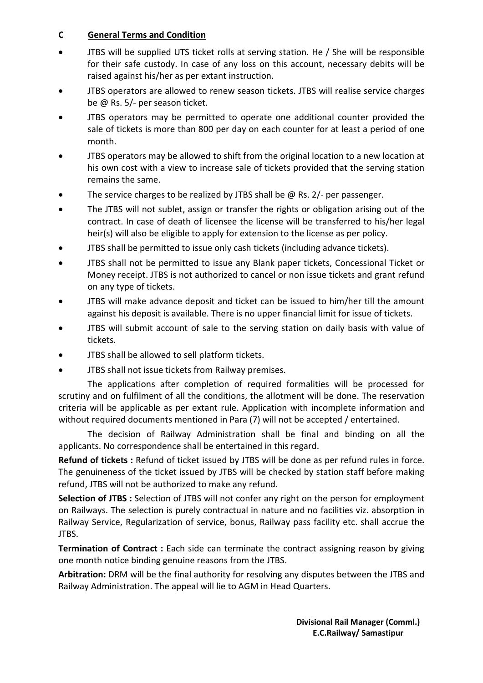## C General Terms and Condition

- JTBS will be supplied UTS ticket rolls at serving station. He / She will be responsible for their safe custody. In case of any loss on this account, necessary debits will be raised against his/her as per extant instruction.
- JTBS operators are allowed to renew season tickets. JTBS will realise service charges be @ Rs. 5/- per season ticket.
- JTBS operators may be permitted to operate one additional counter provided the sale of tickets is more than 800 per day on each counter for at least a period of one month.
- JTBS operators may be allowed to shift from the original location to a new location at his own cost with a view to increase sale of tickets provided that the serving station remains the same.
- The service charges to be realized by JTBS shall be @ Rs. 2/- per passenger.
- The JTBS will not sublet, assign or transfer the rights or obligation arising out of the contract. In case of death of licensee the license will be transferred to his/her legal heir(s) will also be eligible to apply for extension to the license as per policy.
- JTBS shall be permitted to issue only cash tickets (including advance tickets).
- JTBS shall not be permitted to issue any Blank paper tickets, Concessional Ticket or Money receipt. JTBS is not authorized to cancel or non issue tickets and grant refund on any type of tickets.
- JTBS will make advance deposit and ticket can be issued to him/her till the amount against his deposit is available. There is no upper financial limit for issue of tickets.
- JTBS will submit account of sale to the serving station on daily basis with value of tickets.
- JTBS shall be allowed to sell platform tickets.
- JTBS shall not issue tickets from Railway premises.

The applications after completion of required formalities will be processed for scrutiny and on fulfilment of all the conditions, the allotment will be done. The reservation criteria will be applicable as per extant rule. Application with incomplete information and without required documents mentioned in Para (7) will not be accepted / entertained.

The decision of Railway Administration shall be final and binding on all the applicants. No correspondence shall be entertained in this regard.

Refund of tickets : Refund of ticket issued by JTBS will be done as per refund rules in force. The genuineness of the ticket issued by JTBS will be checked by station staff before making refund, JTBS will not be authorized to make any refund.

Selection of JTBS : Selection of JTBS will not confer any right on the person for employment on Railways. The selection is purely contractual in nature and no facilities viz. absorption in Railway Service, Regularization of service, bonus, Railway pass facility etc. shall accrue the JTBS.

Termination of Contract : Each side can terminate the contract assigning reason by giving one month notice binding genuine reasons from the JTBS.

Arbitration: DRM will be the final authority for resolving any disputes between the JTBS and Railway Administration. The appeal will lie to AGM in Head Quarters.